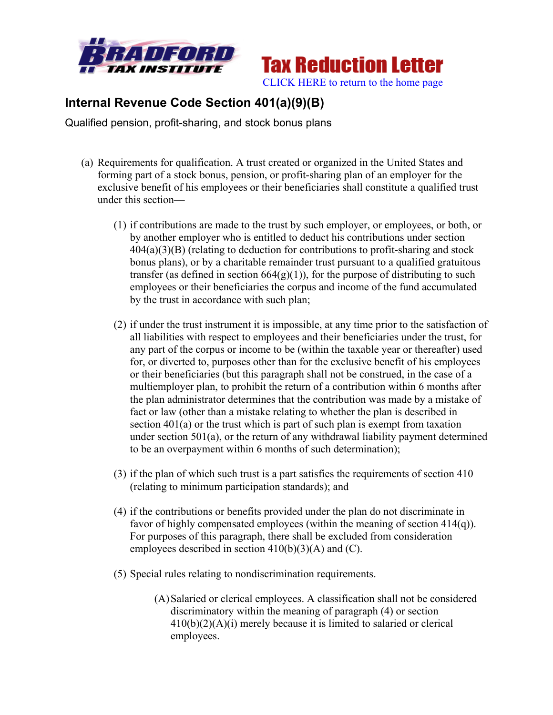



## **Internal Revenue Code Section 401(a)(9)(B)**

Qualified pension, profit-sharing, and stock bonus plans

- (a) Requirements for qualification. A trust created or organized in the United States and forming part of a stock bonus, pension, or profit-sharing plan of an employer for the exclusive benefit of his employees or their beneficiaries shall constitute a qualified trust under this section—
	- (1) if contributions are made to the trust by such employer, or employees, or both, or by another employer who is entitled to deduct his contributions under section  $404(a)(3)(B)$  (relating to deduction for contributions to profit-sharing and stock bonus plans), or by a charitable remainder trust pursuant to a qualified gratuitous transfer (as defined in section  $664(g)(1)$ ), for the purpose of distributing to such employees or their beneficiaries the corpus and income of the fund accumulated by the trust in accordance with such plan;
	- (2) if under the trust instrument it is impossible, at any time prior to the satisfaction of all liabilities with respect to employees and their beneficiaries under the trust, for any part of the corpus or income to be (within the taxable year or thereafter) used for, or diverted to, purposes other than for the exclusive benefit of his employees or their beneficiaries (but this paragraph shall not be construed, in the case of a multiemployer plan, to prohibit the return of a contribution within 6 months after the plan administrator determines that the contribution was made by a mistake of fact or law (other than a mistake relating to whether the plan is described in section 401(a) or the trust which is part of such plan is exempt from taxation under section 501(a), or the return of any withdrawal liability payment determined to be an overpayment within 6 months of such determination);
	- (3) if the plan of which such trust is a part satisfies the requirements of section 410 (relating to minimum participation standards); and
	- (4) if the contributions or benefits provided under the plan do not discriminate in favor of highly compensated employees (within the meaning of section 414(q)). For purposes of this paragraph, there shall be excluded from consideration employees described in section 410(b)(3)(A) and (C).
	- (5) Special rules relating to nondiscrimination requirements.
		- (A)Salaried or clerical employees. A classification shall not be considered discriminatory within the meaning of paragraph (4) or section 410(b)(2)(A)(i) merely because it is limited to salaried or clerical employees.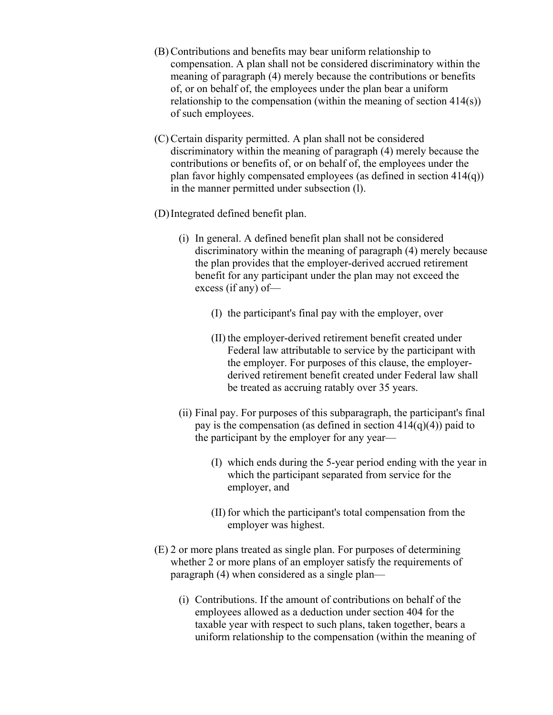- (B) Contributions and benefits may bear uniform relationship to compensation. A plan shall not be considered discriminatory within the meaning of paragraph (4) merely because the contributions or benefits of, or on behalf of, the employees under the plan bear a uniform relationship to the compensation (within the meaning of section 414(s)) of such employees.
- (C) Certain disparity permitted. A plan shall not be considered discriminatory within the meaning of paragraph (4) merely because the contributions or benefits of, or on behalf of, the employees under the plan favor highly compensated employees (as defined in section 414(q)) in the manner permitted under subsection (l).
- (D)Integrated defined benefit plan.
	- (i) In general. A defined benefit plan shall not be considered discriminatory within the meaning of paragraph (4) merely because the plan provides that the employer-derived accrued retirement benefit for any participant under the plan may not exceed the excess (if any) of—
		- (I) the participant's final pay with the employer, over
		- (II) the employer-derived retirement benefit created under Federal law attributable to service by the participant with the employer. For purposes of this clause, the employerderived retirement benefit created under Federal law shall be treated as accruing ratably over 35 years.
	- (ii) Final pay. For purposes of this subparagraph, the participant's final pay is the compensation (as defined in section  $414(q)(4)$ ) paid to the participant by the employer for any year—
		- (I) which ends during the 5-year period ending with the year in which the participant separated from service for the employer, and
		- (II) for which the participant's total compensation from the employer was highest.
- (E) 2 or more plans treated as single plan. For purposes of determining whether 2 or more plans of an employer satisfy the requirements of paragraph (4) when considered as a single plan—
	- (i) Contributions. If the amount of contributions on behalf of the employees allowed as a deduction under section 404 for the taxable year with respect to such plans, taken together, bears a uniform relationship to the compensation (within the meaning of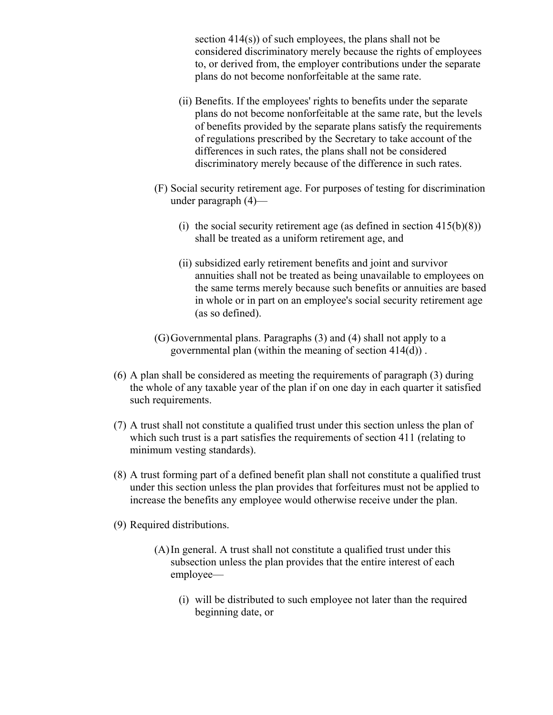section 414(s)) of such employees, the plans shall not be considered discriminatory merely because the rights of employees to, or derived from, the employer contributions under the separate plans do not become nonforfeitable at the same rate.

- (ii) Benefits. If the employees' rights to benefits under the separate plans do not become nonforfeitable at the same rate, but the levels of benefits provided by the separate plans satisfy the requirements of regulations prescribed by the Secretary to take account of the differences in such rates, the plans shall not be considered discriminatory merely because of the difference in such rates.
- (F) Social security retirement age. For purposes of testing for discrimination under paragraph (4)—
	- (i) the social security retirement age (as defined in section  $415(b)(8)$ ) shall be treated as a uniform retirement age, and
	- (ii) subsidized early retirement benefits and joint and survivor annuities shall not be treated as being unavailable to employees on the same terms merely because such benefits or annuities are based in whole or in part on an employee's social security retirement age (as so defined).
- (G)Governmental plans. Paragraphs (3) and (4) shall not apply to a governmental plan (within the meaning of section 414(d)) .
- (6) A plan shall be considered as meeting the requirements of paragraph (3) during the whole of any taxable year of the plan if on one day in each quarter it satisfied such requirements.
- (7) A trust shall not constitute a qualified trust under this section unless the plan of which such trust is a part satisfies the requirements of section 411 (relating to minimum vesting standards).
- (8) A trust forming part of a defined benefit plan shall not constitute a qualified trust under this section unless the plan provides that forfeitures must not be applied to increase the benefits any employee would otherwise receive under the plan.
- (9) Required distributions.
	- (A)In general. A trust shall not constitute a qualified trust under this subsection unless the plan provides that the entire interest of each employee—
		- (i) will be distributed to such employee not later than the required beginning date, or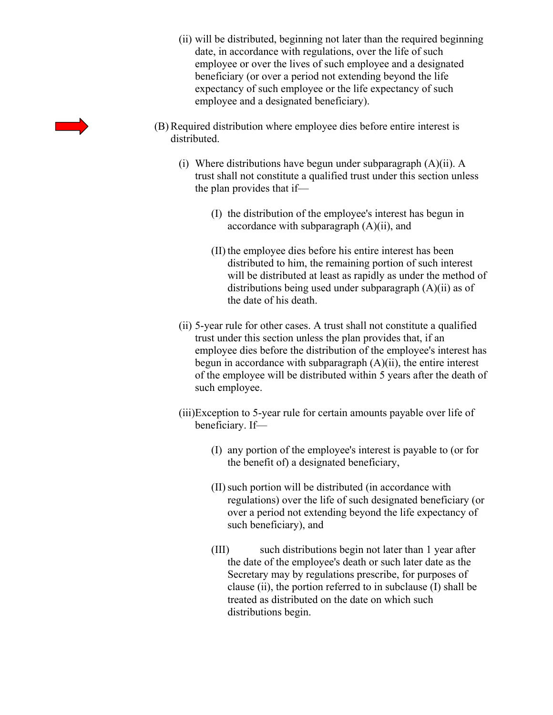- (ii) will be distributed, beginning not later than the required beginning date, in accordance with regulations, over the life of such employee or over the lives of such employee and a designated beneficiary (or over a period not extending beyond the life expectancy of such employee or the life expectancy of such employee and a designated beneficiary).
- (B) Required distribution where employee dies before entire interest is distributed.
	- (i) Where distributions have begun under subparagraph (A)(ii). A trust shall not constitute a qualified trust under this section unless the plan provides that if—
		- (I) the distribution of the employee's interest has begun in accordance with subparagraph (A)(ii), and
		- (II) the employee dies before his entire interest has been distributed to him, the remaining portion of such interest will be distributed at least as rapidly as under the method of distributions being used under subparagraph (A)(ii) as of the date of his death.
	- (ii) 5-year rule for other cases. A trust shall not constitute a qualified trust under this section unless the plan provides that, if an employee dies before the distribution of the employee's interest has begun in accordance with subparagraph  $(A)(ii)$ , the entire interest of the employee will be distributed within 5 years after the death of such employee.
	- (iii)Exception to 5-year rule for certain amounts payable over life of beneficiary. If—
		- (I) any portion of the employee's interest is payable to (or for the benefit of) a designated beneficiary,
		- (II)such portion will be distributed (in accordance with regulations) over the life of such designated beneficiary (or over a period not extending beyond the life expectancy of such beneficiary), and
		- (III) such distributions begin not later than 1 year after the date of the employee's death or such later date as the Secretary may by regulations prescribe, for purposes of clause (ii), the portion referred to in subclause (I) shall be treated as distributed on the date on which such distributions begin.

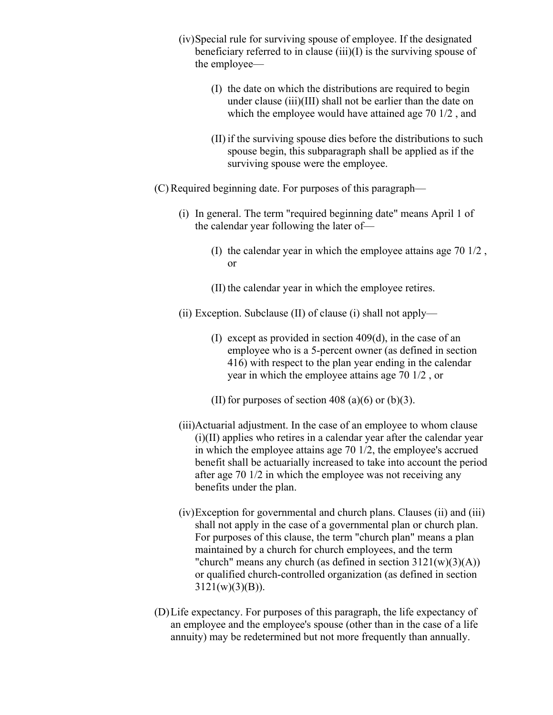- (iv)Special rule for surviving spouse of employee. If the designated beneficiary referred to in clause  $(iii)(I)$  is the surviving spouse of the employee—
	- (I) the date on which the distributions are required to begin under clause (iii)(III) shall not be earlier than the date on which the employee would have attained age 70 1/2 , and
	- (II) if the surviving spouse dies before the distributions to such spouse begin, this subparagraph shall be applied as if the surviving spouse were the employee.
- (C) Required beginning date. For purposes of this paragraph—
	- (i) In general. The term "required beginning date" means April 1 of the calendar year following the later of—
		- (I) the calendar year in which the employee attains age 70 1/2 , or
		- (II) the calendar year in which the employee retires.
	- (ii) Exception. Subclause (II) of clause (i) shall not apply—
		- (I) except as provided in section 409(d), in the case of an employee who is a 5-percent owner (as defined in section 416) with respect to the plan year ending in the calendar year in which the employee attains age 70 1/2 , or
		- (II) for purposes of section 408 (a)(6) or (b)(3).
	- (iii)Actuarial adjustment. In the case of an employee to whom clause (i)(II) applies who retires in a calendar year after the calendar year in which the employee attains age 70 1/2, the employee's accrued benefit shall be actuarially increased to take into account the period after age 70 1/2 in which the employee was not receiving any benefits under the plan.
	- (iv)Exception for governmental and church plans. Clauses (ii) and (iii) shall not apply in the case of a governmental plan or church plan. For purposes of this clause, the term "church plan" means a plan maintained by a church for church employees, and the term "church" means any church (as defined in section  $3121(w)(3)(A)$ ) or qualified church-controlled organization (as defined in section  $3121(w)(3)(B)$ ).
- (D)Life expectancy. For purposes of this paragraph, the life expectancy of an employee and the employee's spouse (other than in the case of a life annuity) may be redetermined but not more frequently than annually.